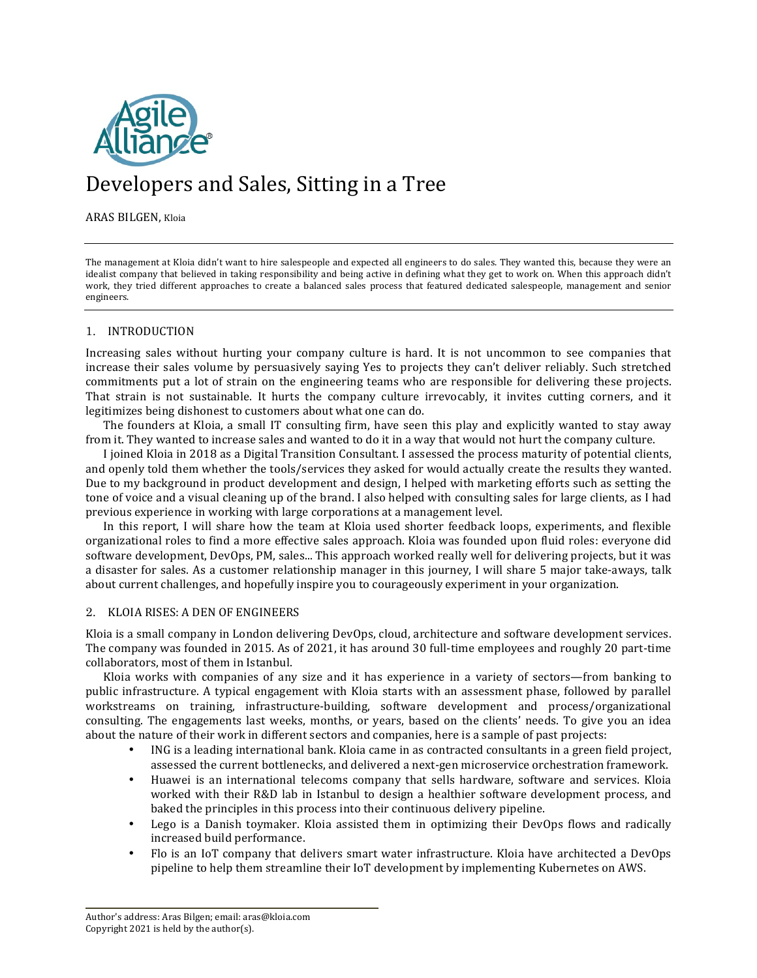

# Developers and Sales, Sitting in a Tree

ARAS BILGEN, Kloia

The management at Kloia didn't want to hire salespeople and expected all engineers to do sales. They wanted this, because they were an idealist company that believed in taking responsibility and being active in defining what they get to work on. When this approach didn't work, they tried different approaches to create a balanced sales process that featured dedicated salespeople, management and senior engineers.

# 1. INTRODUCTION

Increasing sales without hurting your company culture is hard. It is not uncommon to see companies that increase their sales volume by persuasively saying Yes to projects they can't deliver reliably. Such stretched commitments put a lot of strain on the engineering teams who are responsible for delivering these projects. That strain is not sustainable. It hurts the company culture irrevocably, it invites cutting corners, and it legitimizes being dishonest to customers about what one can do.

The founders at Kloia, a small IT consulting firm, have seen this play and explicitly wanted to stay away from it. They wanted to increase sales and wanted to do it in a way that would not hurt the company culture.

I joined Kloia in 2018 as a Digital Transition Consultant. I assessed the process maturity of potential clients, and openly told them whether the tools/services they asked for would actually create the results they wanted. Due to my background in product development and design, I helped with marketing efforts such as setting the tone of voice and a visual cleaning up of the brand. I also helped with consulting sales for large clients, as I had previous experience in working with large corporations at a management level.

In this report, I will share how the team at Kloia used shorter feedback loops, experiments, and flexible organizational roles to find a more effective sales approach. Kloia was founded upon fluid roles: everyone did software development, DevOps, PM, sales... This approach worked really well for delivering projects, but it was a disaster for sales. As a customer relationship manager in this journey, I will share 5 major take-aways, talk about current challenges, and hopefully inspire you to courageously experiment in your organization.

# 2. KLOIA RISES: A DEN OF ENGINEERS

Kloia is a small company in London delivering DevOps, cloud, architecture and software development services. The company was founded in 2015. As of 2021, it has around 30 full-time employees and roughly 20 part-time collaborators, most of them in Istanbul.

Kloia works with companies of any size and it has experience in a variety of sectors-from banking to public infrastructure. A typical engagement with Kloia starts with an assessment phase, followed by parallel workstreams on training, infrastructure-building, software development and process/organizational consulting. The engagements last weeks, months, or years, based on the clients' needs. To give you an idea about the nature of their work in different sectors and companies, here is a sample of past projects:

- ING is a leading international bank. Kloia came in as contracted consultants in a green field project, assessed the current bottlenecks, and delivered a next-gen microservice orchestration framework.
- Huawei is an international telecoms company that sells hardware, software and services. Kloia worked with their R&D lab in Istanbul to design a healthier software development process, and baked the principles in this process into their continuous delivery pipeline.
- Lego is a Danish toymaker. Kloia assisted them in optimizing their DevOps flows and radically increased build performance.
- Flo is an IoT company that delivers smart water infrastructure. Kloia have architected a DevOps pipeline to help them streamline their IoT development by implementing Kubernetes on AWS.

Author's address: Aras Bilgen; email: aras@kloia.com Copyright  $2021$  is held by the author(s).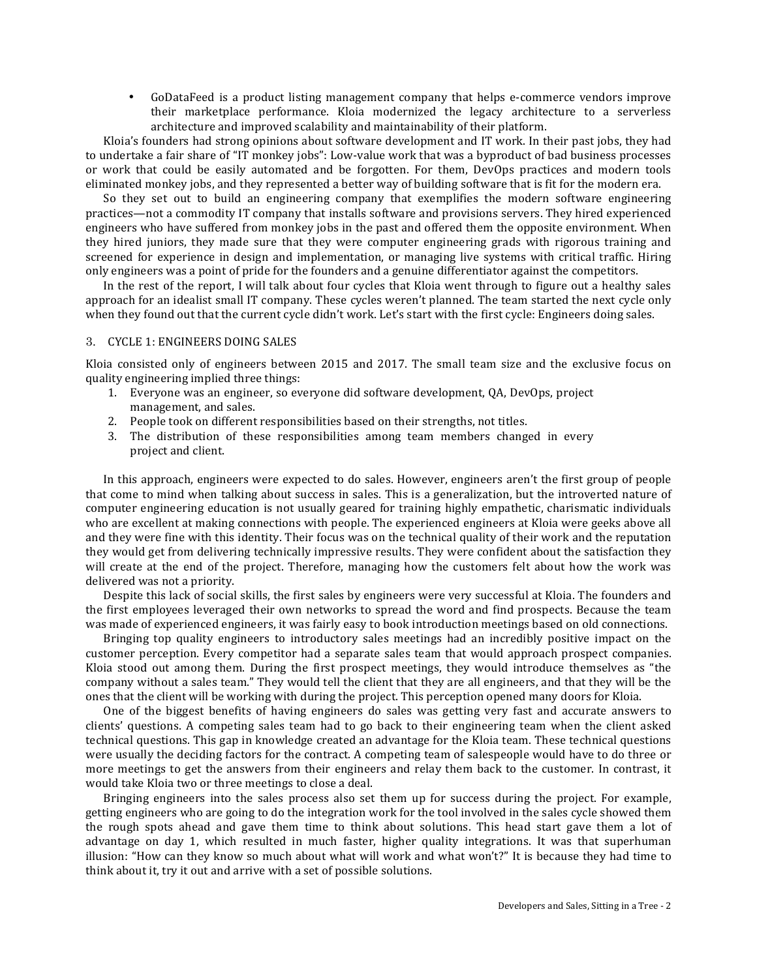• GoDataFeed is a product listing management company that helps e-commerce vendors improve their marketplace performance. Kloia modernized the legacy architecture to a serverless architecture and improved scalability and maintainability of their platform.

Kloia's founders had strong opinions about software development and IT work. In their past jobs, they had to undertake a fair share of "IT monkey jobs": Low-value work that was a byproduct of bad business processes or work that could be easily automated and be forgotten. For them, DevOps practices and modern tools eliminated monkey jobs, and they represented a better way of building software that is fit for the modern era.

So they set out to build an engineering company that exemplifies the modern software engineering practices—not a commodity IT company that installs software and provisions servers. They hired experienced engineers who have suffered from monkey jobs in the past and offered them the opposite environment. When they hired juniors, they made sure that they were computer engineering grads with rigorous training and screened for experience in design and implementation, or managing live systems with critical traffic. Hiring only engineers was a point of pride for the founders and a genuine differentiator against the competitors.

In the rest of the report, I will talk about four cycles that Kloia went through to figure out a healthy sales approach for an idealist small IT company. These cycles weren't planned. The team started the next cycle only when they found out that the current cycle didn't work. Let's start with the first cycle: Engineers doing sales.

#### 3. CYCLE 1: ENGINEERS DOING SALES

Kloia consisted only of engineers between  $2015$  and  $2017$ . The small team size and the exclusive focus on quality engineering implied three things:

- 1. Everyone was an engineer, so everyone did software development, OA, DevOps, project management, and sales.
- 2. People took on different responsibilities based on their strengths, not titles.
- 3. The distribution of these responsibilities among team members changed in every project and client.

In this approach, engineers were expected to do sales. However, engineers aren't the first group of people that come to mind when talking about success in sales. This is a generalization, but the introverted nature of computer engineering education is not usually geared for training highly empathetic, charismatic individuals who are excellent at making connections with people. The experienced engineers at Kloia were geeks above all and they were fine with this identity. Their focus was on the technical quality of their work and the reputation they would get from delivering technically impressive results. They were confident about the satisfaction they will create at the end of the project. Therefore, managing how the customers felt about how the work was delivered was not a priority.

Despite this lack of social skills, the first sales by engineers were very successful at Kloia. The founders and the first employees leveraged their own networks to spread the word and find prospects. Because the team was made of experienced engineers, it was fairly easy to book introduction meetings based on old connections.

Bringing top quality engineers to introductory sales meetings had an incredibly positive impact on the customer perception. Every competitor had a separate sales team that would approach prospect companies. Kloia stood out among them. During the first prospect meetings, they would introduce themselves as "the company without a sales team." They would tell the client that they are all engineers, and that they will be the ones that the client will be working with during the project. This perception opened many doors for Kloia.

One of the biggest benefits of having engineers do sales was getting very fast and accurate answers to clients' questions. A competing sales team had to go back to their engineering team when the client asked technical questions. This gap in knowledge created an advantage for the Kloia team. These technical questions were usually the deciding factors for the contract. A competing team of salespeople would have to do three or more meetings to get the answers from their engineers and relay them back to the customer. In contrast, it would take Kloia two or three meetings to close a deal.

Bringing engineers into the sales process also set them up for success during the project. For example, getting engineers who are going to do the integration work for the tool involved in the sales cycle showed them the rough spots ahead and gave them time to think about solutions. This head start gave them a lot of advantage on day 1, which resulted in much faster, higher quality integrations. It was that superhuman illusion: "How can they know so much about what will work and what won't?" It is because they had time to think about it, try it out and arrive with a set of possible solutions.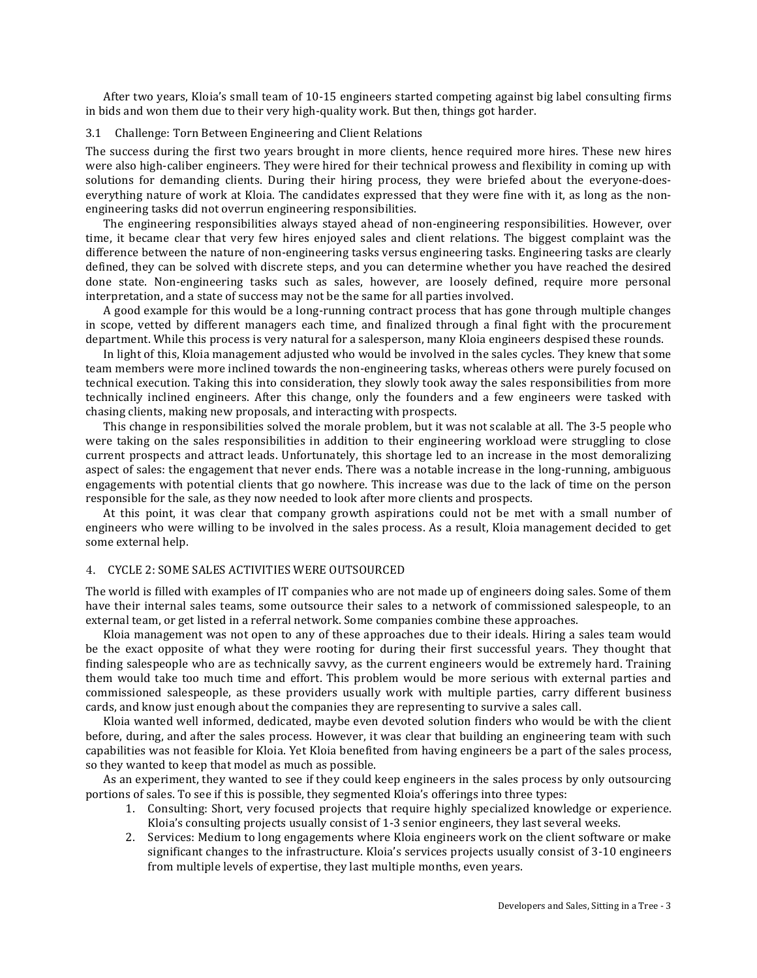After two years, Kloia's small team of 10-15 engineers started competing against big label consulting firms in bids and won them due to their very high-quality work. But then, things got harder.

#### 3.1 Challenge: Torn Between Engineering and Client Relations

The success during the first two years brought in more clients, hence required more hires. These new hires were also high-caliber engineers. They were hired for their technical prowess and flexibility in coming up with solutions for demanding clients. During their hiring process, they were briefed about the everyone-doeseverything nature of work at Kloia. The candidates expressed that they were fine with it, as long as the nonengineering tasks did not overrun engineering responsibilities.

The engineering responsibilities always stayed ahead of non-engineering responsibilities. However, over time, it became clear that very few hires enjoyed sales and client relations. The biggest complaint was the difference between the nature of non-engineering tasks versus engineering tasks. Engineering tasks are clearly defined, they can be solved with discrete steps, and you can determine whether you have reached the desired done state. Non-engineering tasks such as sales, however, are loosely defined, require more personal interpretation, and a state of success may not be the same for all parties involved.

A good example for this would be a long-running contract process that has gone through multiple changes in scope, vetted by different managers each time, and finalized through a final fight with the procurement department. While this process is very natural for a salesperson, many Kloia engineers despised these rounds.

In light of this, Kloia management adjusted who would be involved in the sales cycles. They knew that some team members were more inclined towards the non-engineering tasks, whereas others were purely focused on technical execution. Taking this into consideration, they slowly took away the sales responsibilities from more technically inclined engineers. After this change, only the founders and a few engineers were tasked with chasing clients, making new proposals, and interacting with prospects.

This change in responsibilities solved the morale problem, but it was not scalable at all. The 3-5 people who were taking on the sales responsibilities in addition to their engineering workload were struggling to close current prospects and attract leads. Unfortunately, this shortage led to an increase in the most demoralizing aspect of sales: the engagement that never ends. There was a notable increase in the long-running, ambiguous engagements with potential clients that go nowhere. This increase was due to the lack of time on the person responsible for the sale, as they now needed to look after more clients and prospects.

At this point, it was clear that company growth aspirations could not be met with a small number of engineers who were willing to be involved in the sales process. As a result, Kloia management decided to get some external help.

# 4. CYCLE 2: SOME SALES ACTIVITIES WERE OUTSOURCED

The world is filled with examples of IT companies who are not made up of engineers doing sales. Some of them have their internal sales teams, some outsource their sales to a network of commissioned salespeople, to an external team, or get listed in a referral network. Some companies combine these approaches.

Kloia management was not open to any of these approaches due to their ideals. Hiring a sales team would be the exact opposite of what they were rooting for during their first successful years. They thought that finding salespeople who are as technically savvy, as the current engineers would be extremely hard. Training them would take too much time and effort. This problem would be more serious with external parties and commissioned salespeople, as these providers usually work with multiple parties, carry different business cards, and know just enough about the companies they are representing to survive a sales call.

Kloia wanted well informed, dedicated, maybe even devoted solution finders who would be with the client before, during, and after the sales process. However, it was clear that building an engineering team with such capabilities was not feasible for Kloia. Yet Kloia benefited from having engineers be a part of the sales process, so they wanted to keep that model as much as possible.

As an experiment, they wanted to see if they could keep engineers in the sales process by only outsourcing portions of sales. To see if this is possible, they segmented Kloia's offerings into three types:

- 1. Consulting: Short, very focused projects that require highly specialized knowledge or experience. Kloia's consulting projects usually consist of  $1-3$  senior engineers, they last several weeks.
- 2. Services: Medium to long engagements where Kloia engineers work on the client software or make significant changes to the infrastructure. Kloia's services projects usually consist of 3-10 engineers from multiple levels of expertise, they last multiple months, even years.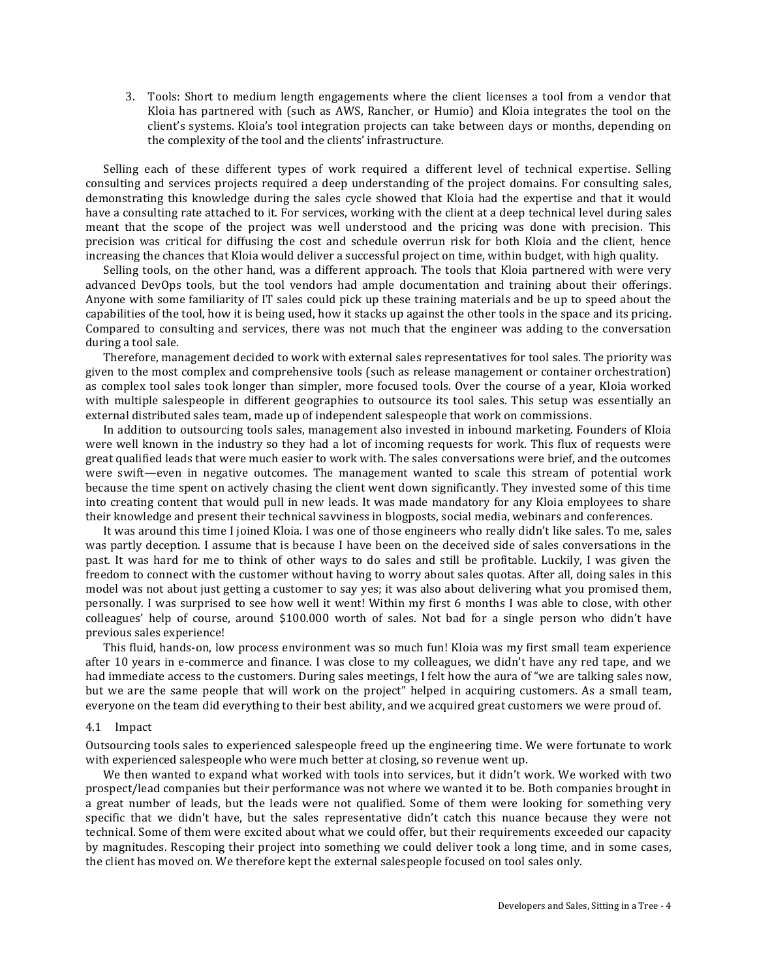3. Tools: Short to medium length engagements where the client licenses a tool from a vendor that Kloia has partnered with (such as AWS, Rancher, or Humio) and Kloia integrates the tool on the client's systems. Kloia's tool integration projects can take between days or months, depending on the complexity of the tool and the clients' infrastructure.

Selling each of these different types of work required a different level of technical expertise. Selling consulting and services projects required a deep understanding of the project domains. For consulting sales, demonstrating this knowledge during the sales cycle showed that Kloia had the expertise and that it would have a consulting rate attached to it. For services, working with the client at a deep technical level during sales meant that the scope of the project was well understood and the pricing was done with precision. This precision was critical for diffusing the cost and schedule overrun risk for both Kloia and the client, hence increasing the chances that Kloia would deliver a successful project on time, within budget, with high quality.

Selling tools, on the other hand, was a different approach. The tools that Kloia partnered with were very advanced DevOps tools, but the tool vendors had ample documentation and training about their offerings. Anyone with some familiarity of IT sales could pick up these training materials and be up to speed about the capabilities of the tool, how it is being used, how it stacks up against the other tools in the space and its pricing. Compared to consulting and services, there was not much that the engineer was adding to the conversation during a tool sale.

Therefore, management decided to work with external sales representatives for tool sales. The priority was given to the most complex and comprehensive tools (such as release management or container orchestration) as complex tool sales took longer than simpler, more focused tools. Over the course of a year, Kloia worked with multiple salespeople in different geographies to outsource its tool sales. This setup was essentially an external distributed sales team, made up of independent salespeople that work on commissions.

In addition to outsourcing tools sales, management also invested in inbound marketing. Founders of Kloia were well known in the industry so they had a lot of incoming requests for work. This flux of requests were great qualified leads that were much easier to work with. The sales conversations were brief, and the outcomes were swift—even in negative outcomes. The management wanted to scale this stream of potential work because the time spent on actively chasing the client went down significantly. They invested some of this time into creating content that would pull in new leads. It was made mandatory for any Kloia employees to share their knowledge and present their technical savviness in blogposts, social media, webinars and conferences.

It was around this time I joined Kloia. I was one of those engineers who really didn't like sales. To me, sales was partly deception. I assume that is because I have been on the deceived side of sales conversations in the past. It was hard for me to think of other ways to do sales and still be profitable. Luckily, I was given the freedom to connect with the customer without having to worry about sales quotas. After all, doing sales in this model was not about just getting a customer to say yes; it was also about delivering what you promised them, personally. I was surprised to see how well it went! Within my first 6 months I was able to close, with other colleagues' help of course, around \$100.000 worth of sales. Not bad for a single person who didn't have previous sales experience!

This fluid, hands-on, low process environment was so much fun! Kloia was my first small team experience after 10 years in e-commerce and finance. I was close to my colleagues, we didn't have any red tape, and we had immediate access to the customers. During sales meetings, I felt how the aura of "we are talking sales now, but we are the same people that will work on the project" helped in acquiring customers. As a small team, everyone on the team did everything to their best ability, and we acquired great customers we were proud of.

#### 4.1 Impact

Outsourcing tools sales to experienced salespeople freed up the engineering time. We were fortunate to work with experienced salespeople who were much better at closing, so revenue went up.

We then wanted to expand what worked with tools into services, but it didn't work. We worked with two prospect/lead companies but their performance was not where we wanted it to be. Both companies brought in a great number of leads, but the leads were not qualified. Some of them were looking for something very specific that we didn't have, but the sales representative didn't catch this nuance because they were not technical. Some of them were excited about what we could offer, but their requirements exceeded our capacity by magnitudes. Rescoping their project into something we could deliver took a long time, and in some cases, the client has moved on. We therefore kept the external salespeople focused on tool sales only.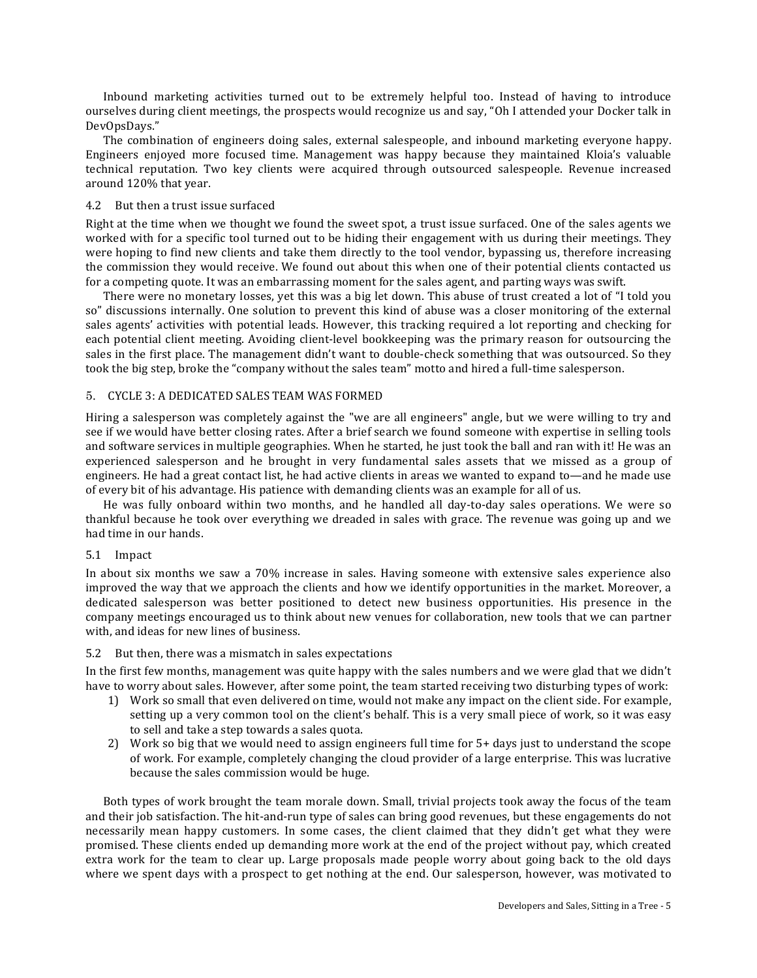Inbound marketing activities turned out to be extremely helpful too. Instead of having to introduce ourselves during client meetings, the prospects would recognize us and say, "Oh I attended your Docker talk in DevOpsDays." 

The combination of engineers doing sales, external salespeople, and inbound marketing everyone happy. Engineers enjoyed more focused time. Management was happy because they maintained Kloia's valuable technical reputation. Two key clients were acquired through outsourced salespeople. Revenue increased around 120% that year.

#### 4.2 But then a trust issue surfaced

Right at the time when we thought we found the sweet spot, a trust issue surfaced. One of the sales agents we worked with for a specific tool turned out to be hiding their engagement with us during their meetings. They were hoping to find new clients and take them directly to the tool vendor, bypassing us, therefore increasing the commission they would receive. We found out about this when one of their potential clients contacted us for a competing quote. It was an embarrassing moment for the sales agent, and parting ways was swift.

There were no monetary losses, yet this was a big let down. This abuse of trust created a lot of "I told you so" discussions internally. One solution to prevent this kind of abuse was a closer monitoring of the external sales agents' activities with potential leads. However, this tracking required a lot reporting and checking for each potential client meeting. Avoiding client-level bookkeeping was the primary reason for outsourcing the sales in the first place. The management didn't want to double-check something that was outsourced. So they took the big step, broke the "company without the sales team" motto and hired a full-time salesperson.

## 5. CYCLE 3: A DEDICATED SALES TEAM WAS FORMED

Hiring a salesperson was completely against the "we are all engineers" angle, but we were willing to try and see if we would have better closing rates. After a brief search we found someone with expertise in selling tools and software services in multiple geographies. When he started, he just took the ball and ran with it! He was an experienced salesperson and he brought in very fundamental sales assets that we missed as a group of engineers. He had a great contact list, he had active clients in areas we wanted to expand to—and he made use of every bit of his advantage. His patience with demanding clients was an example for all of us.

He was fully onboard within two months, and he handled all day-to-day sales operations. We were so thankful because he took over everything we dreaded in sales with grace. The revenue was going up and we had time in our hands.

#### 5.1 Impact

In about six months we saw a 70% increase in sales. Having someone with extensive sales experience also improved the way that we approach the clients and how we identify opportunities in the market. Moreover, a dedicated salesperson was better positioned to detect new business opportunities. His presence in the company meetings encouraged us to think about new venues for collaboration, new tools that we can partner with, and ideas for new lines of business.

#### 5.2 But then, there was a mismatch in sales expectations

In the first few months, management was quite happy with the sales numbers and we were glad that we didn't have to worry about sales. However, after some point, the team started receiving two disturbing types of work:

- 1) Work so small that even delivered on time, would not make any impact on the client side. For example, setting up a very common tool on the client's behalf. This is a very small piece of work, so it was easy to sell and take a step towards a sales quota.
- 2) Work so big that we would need to assign engineers full time for  $5+$  days just to understand the scope of work. For example, completely changing the cloud provider of a large enterprise. This was lucrative because the sales commission would be huge.

Both types of work brought the team morale down. Small, trivial projects took away the focus of the team and their job satisfaction. The hit-and-run type of sales can bring good revenues, but these engagements do not necessarily mean happy customers. In some cases, the client claimed that they didn't get what they were promised. These clients ended up demanding more work at the end of the project without pay, which created extra work for the team to clear up. Large proposals made people worry about going back to the old days where we spent days with a prospect to get nothing at the end. Our salesperson, however, was motivated to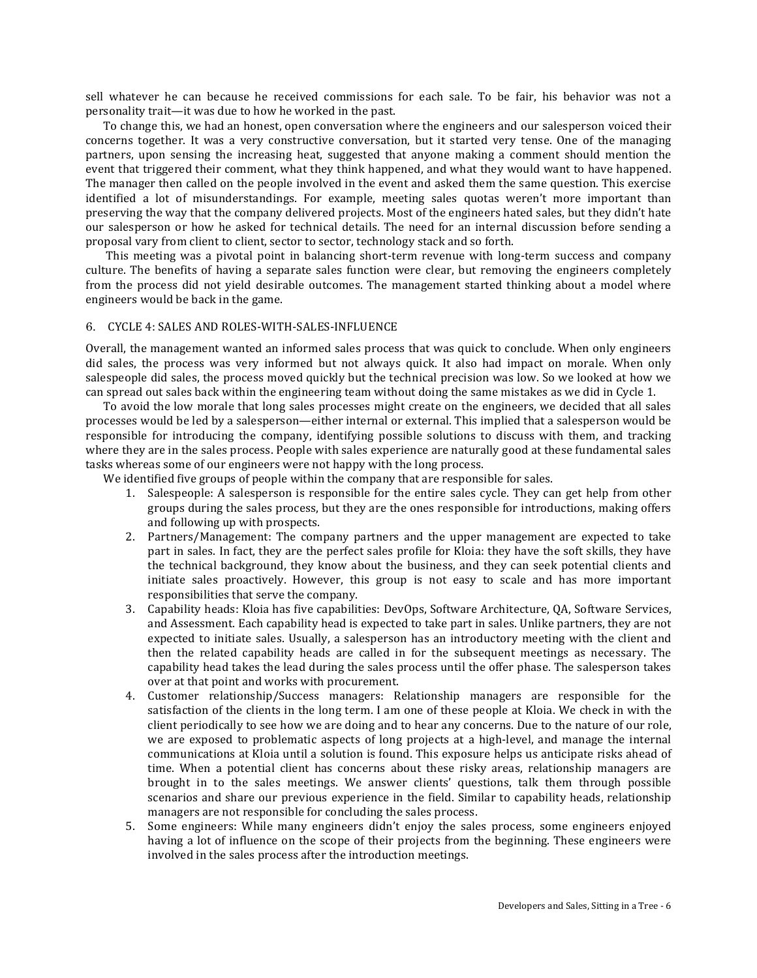sell whatever he can because he received commissions for each sale. To be fair, his behavior was not a personality trait—it was due to how he worked in the past.

To change this, we had an honest, open conversation where the engineers and our salesperson voiced their concerns together. It was a very constructive conversation, but it started very tense. One of the managing partners, upon sensing the increasing heat, suggested that anyone making a comment should mention the event that triggered their comment, what they think happened, and what they would want to have happened. The manager then called on the people involved in the event and asked them the same question. This exercise identified a lot of misunderstandings. For example, meeting sales quotas weren't more important than preserving the way that the company delivered projects. Most of the engineers hated sales, but they didn't hate our salesperson or how he asked for technical details. The need for an internal discussion before sending a proposal vary from client to client, sector to sector, technology stack and so forth.

This meeting was a pivotal point in balancing short-term revenue with long-term success and company culture. The benefits of having a separate sales function were clear, but removing the engineers completely from the process did not yield desirable outcomes. The management started thinking about a model where engineers would be back in the game.

# 6. CYCLE 4: SALES AND ROLES-WITH-SALES-INFLUENCE

Overall, the management wanted an informed sales process that was quick to conclude. When only engineers did sales, the process was very informed but not always quick. It also had impact on morale. When only salespeople did sales, the process moved quickly but the technical precision was low. So we looked at how we can spread out sales back within the engineering team without doing the same mistakes as we did in Cycle 1.

To avoid the low morale that long sales processes might create on the engineers, we decided that all sales processes would be led by a salesperson—either internal or external. This implied that a salesperson would be responsible for introducing the company, identifying possible solutions to discuss with them, and tracking where they are in the sales process. People with sales experience are naturally good at these fundamental sales tasks whereas some of our engineers were not happy with the long process.

We identified five groups of people within the company that are responsible for sales.

- 1. Salespeople: A salesperson is responsible for the entire sales cycle. They can get help from other groups during the sales process, but they are the ones responsible for introductions, making offers and following up with prospects.
- 2. Partners/Management: The company partners and the upper management are expected to take part in sales. In fact, they are the perfect sales profile for Kloia: they have the soft skills, they have the technical background, they know about the business, and they can seek potential clients and initiate sales proactively. However, this group is not easy to scale and has more important responsibilities that serve the company.
- 3. Capability heads: Kloia has five capabilities: DevOps, Software Architecture, QA, Software Services, and Assessment. Each capability head is expected to take part in sales. Unlike partners, they are not expected to initiate sales. Usually, a salesperson has an introductory meeting with the client and then the related capability heads are called in for the subsequent meetings as necessary. The capability head takes the lead during the sales process until the offer phase. The salesperson takes over at that point and works with procurement.
- 4. Customer relationship/Success managers: Relationship managers are responsible for the satisfaction of the clients in the long term. I am one of these people at Kloia. We check in with the client periodically to see how we are doing and to hear any concerns. Due to the nature of our role, we are exposed to problematic aspects of long projects at a high-level, and manage the internal communications at Kloia until a solution is found. This exposure helps us anticipate risks ahead of time. When a potential client has concerns about these risky areas, relationship managers are brought in to the sales meetings. We answer clients' questions, talk them through possible scenarios and share our previous experience in the field. Similar to capability heads, relationship managers are not responsible for concluding the sales process.
- 5. Some engineers: While many engineers didn't enjoy the sales process, some engineers enjoyed having a lot of influence on the scope of their projects from the beginning. These engineers were involved in the sales process after the introduction meetings.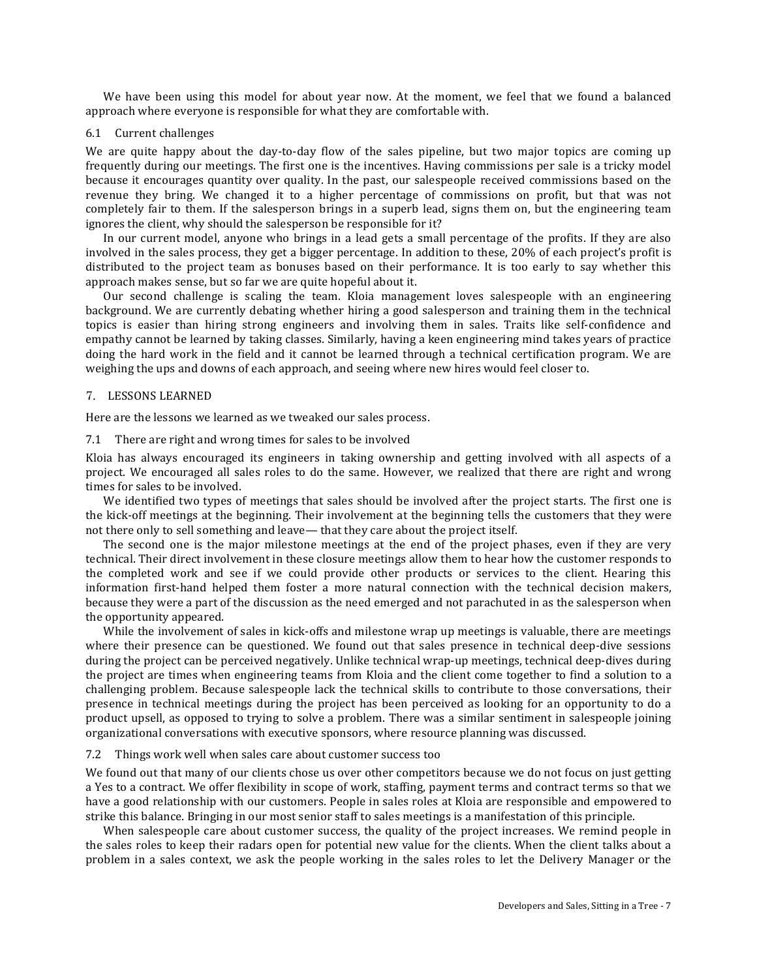We have been using this model for about year now. At the moment, we feel that we found a balanced approach where everyone is responsible for what they are comfortable with.

#### 6.1 Current challenges

We are quite happy about the day-to-day flow of the sales pipeline, but two major topics are coming up frequently during our meetings. The first one is the incentives. Having commissions per sale is a tricky model because it encourages quantity over quality. In the past, our salespeople received commissions based on the revenue they bring. We changed it to a higher percentage of commissions on profit, but that was not completely fair to them. If the salesperson brings in a superb lead, signs them on, but the engineering team ignores the client, why should the salesperson be responsible for it?

In our current model, anyone who brings in a lead gets a small percentage of the profits. If they are also involved in the sales process, they get a bigger percentage. In addition to these, 20% of each project's profit is distributed to the project team as bonuses based on their performance. It is too early to say whether this approach makes sense, but so far we are quite hopeful about it.

Our second challenge is scaling the team. Kloia management loves salespeople with an engineering background. We are currently debating whether hiring a good salesperson and training them in the technical topics is easier than hiring strong engineers and involving them in sales. Traits like self-confidence and empathy cannot be learned by taking classes. Similarly, having a keen engineering mind takes years of practice doing the hard work in the field and it cannot be learned through a technical certification program. We are weighing the ups and downs of each approach, and seeing where new hires would feel closer to.

# 7. LESSONS LEARNED

Here are the lessons we learned as we tweaked our sales process.

#### 7.1 There are right and wrong times for sales to be involved

Kloia has always encouraged its engineers in taking ownership and getting involved with all aspects of a project. We encouraged all sales roles to do the same. However, we realized that there are right and wrong times for sales to be involved.

We identified two types of meetings that sales should be involved after the project starts. The first one is the kick-off meetings at the beginning. Their involvement at the beginning tells the customers that they were not there only to sell something and leave— that they care about the project itself.

The second one is the major milestone meetings at the end of the project phases, even if they are very technical. Their direct involvement in these closure meetings allow them to hear how the customer responds to the completed work and see if we could provide other products or services to the client. Hearing this information first-hand helped them foster a more natural connection with the technical decision makers, because they were a part of the discussion as the need emerged and not parachuted in as the salesperson when the opportunity appeared.

While the involvement of sales in kick-offs and milestone wrap up meetings is valuable, there are meetings where their presence can be questioned. We found out that sales presence in technical deep-dive sessions during the project can be perceived negatively. Unlike technical wrap-up meetings, technical deep-dives during the project are times when engineering teams from Kloia and the client come together to find a solution to a challenging problem. Because salespeople lack the technical skills to contribute to those conversations, their presence in technical meetings during the project has been perceived as looking for an opportunity to do a product upsell, as opposed to trying to solve a problem. There was a similar sentiment in salespeople joining organizational conversations with executive sponsors, where resource planning was discussed.

## 7.2 Things work well when sales care about customer success too

We found out that many of our clients chose us over other competitors because we do not focus on just getting a Yes to a contract. We offer flexibility in scope of work, staffing, payment terms and contract terms so that we have a good relationship with our customers. People in sales roles at Kloia are responsible and empowered to strike this balance. Bringing in our most senior staff to sales meetings is a manifestation of this principle.

When salespeople care about customer success, the quality of the project increases. We remind people in the sales roles to keep their radars open for potential new value for the clients. When the client talks about a problem in a sales context, we ask the people working in the sales roles to let the Delivery Manager or the